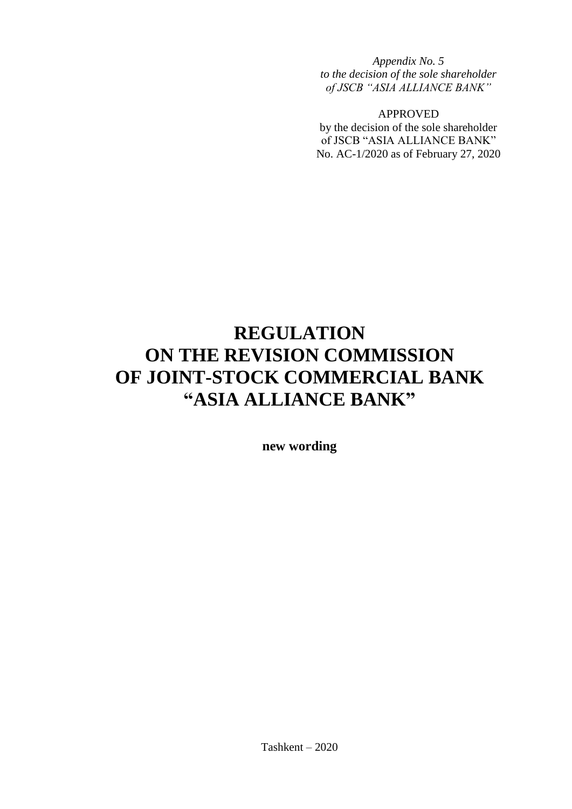*Appendix No. 5 to the decision of the sole shareholder of JSCB "ASIA ALLIANCE BANK"* 

APPROVED

by the decision of the sole shareholder of JSCB "ASIA ALLIANCE BANK" No. AC-1/2020 as of February 27, 2020

# **REGULATION ON THE REVISION COMMISSION OF JOINT-STOCK COMMERCIAL BANK "ASIA ALLIANCE BANK"**

**new wording**

Tashkent – 2020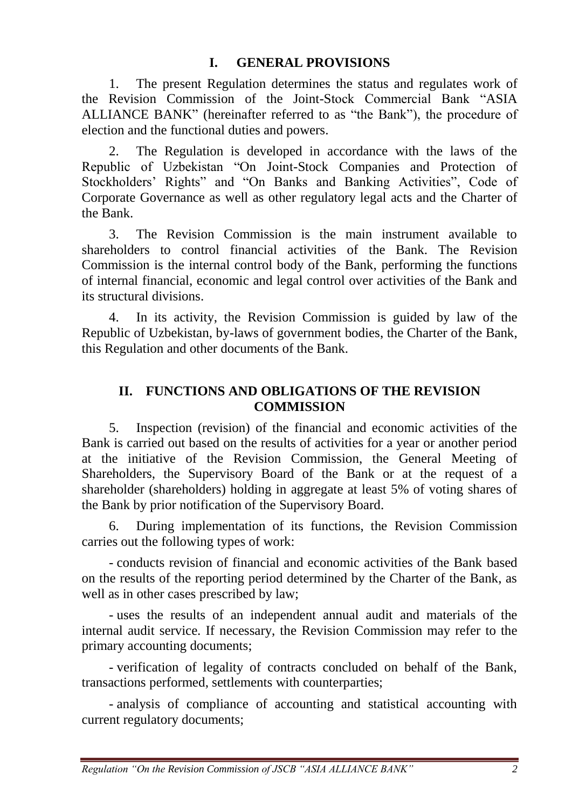### **I. GENERAL PROVISIONS**

1. The present Regulation determines the status and regulates work of the Revision Commission of the Joint-Stock Commercial Bank "ASIA ALLIANCE BANK" (hereinafter referred to as "the Bank"), the procedure of election and the functional duties and powers.

2. The Regulation is developed in accordance with the laws of the Republic of Uzbekistan "On Joint-Stock Companies and Protection of Stockholders' Rights" and "On Banks and Banking Activities", Code of Corporate Governance as well as other regulatory legal acts and the Charter of the Bank.

3. The Revision Commission is the main instrument available to shareholders to control financial activities of the Bank. The Revision Commission is the internal control body of the Bank, performing the functions of internal financial, economic and legal control over activities of the Bank and its structural divisions.

4. In its activity, the Revision Commission is guided by law of the Republic of Uzbekistan, by-laws of government bodies, the Charter of the Bank, this Regulation and other documents of the Bank.

# **II. FUNCTIONS AND OBLIGATIONS OF THE REVISION COMMISSION**

5. Inspection (revision) of the financial and economic activities of the Bank is carried out based on the results of activities for a year or another period at the initiative of the Revision Commission, the General Meeting of Shareholders, the Supervisory Board of the Bank or at the request of a shareholder (shareholders) holding in aggregate at least 5% of voting shares of the Bank by prior notification of the Supervisory Board.

6. During implementation of its functions, the Revision Commission carries out the following types of work:

- conducts revision of financial and economic activities of the Bank based on the results of the reporting period determined by the Charter of the Bank, as well as in other cases prescribed by law;

- uses the results of an independent annual audit and materials of the internal audit service. If necessary, the Revision Commission may refer to the primary accounting documents;

- verification of legality of contracts concluded on behalf of the Bank, transactions performed, settlements with counterparties;

- analysis of compliance of accounting and statistical accounting with current regulatory documents;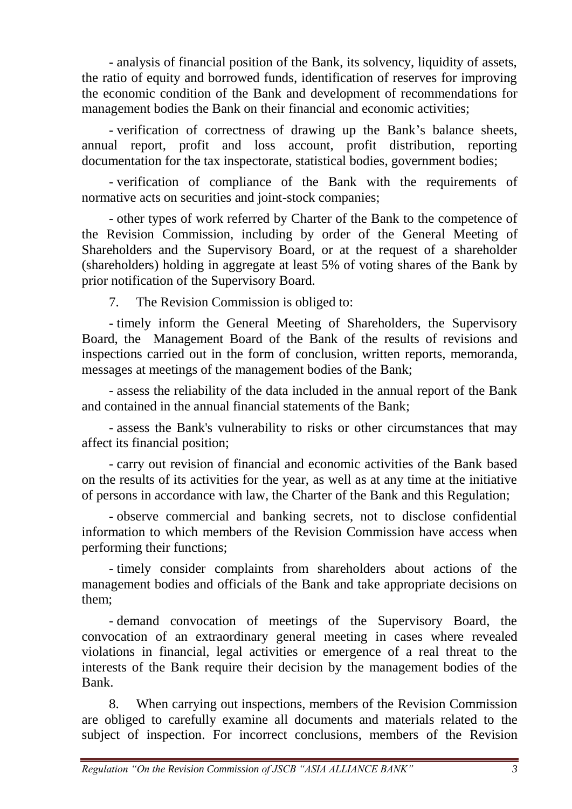- analysis of financial position of the Bank, its solvency, liquidity of assets, the ratio of equity and borrowed funds, identification of reserves for improving the economic condition of the Bank and development of recommendations for management bodies the Bank on their financial and economic activities;

- verification of correctness of drawing up the Bank's balance sheets, annual report, profit and loss account, profit distribution, reporting documentation for the tax inspectorate, statistical bodies, government bodies;

- verification of compliance of the Bank with the requirements of normative acts on securities and joint-stock companies;

- other types of work referred by Charter of the Bank to the competence of the Revision Commission, including by order of the General Meeting of Shareholders and the Supervisory Board, or at the request of a shareholder (shareholders) holding in aggregate at least 5% of voting shares of the Bank by prior notification of the Supervisory Board.

7. The Revision Commission is obliged to:

- timely inform the General Meeting of Shareholders, the Supervisory Board, the Management Board of the Bank of the results of revisions and inspections carried out in the form of conclusion, written reports, memoranda, messages at meetings of the management bodies of the Bank;

- assess the reliability of the data included in the annual report of the Bank and contained in the annual financial statements of the Bank;

- assess the Bank's vulnerability to risks or other circumstances that may affect its financial position;

- carry out revision of financial and economic activities of the Bank based on the results of its activities for the year, as well as at any time at the initiative of persons in accordance with law, the Charter of the Bank and this Regulation;

- observe commercial and banking secrets, not to disclose confidential information to which members of the Revision Commission have access when performing their functions;

- timely consider complaints from shareholders about actions of the management bodies and officials of the Bank and take appropriate decisions on them;

- demand convocation of meetings of the Supervisory Board, the convocation of an extraordinary general meeting in cases where revealed violations in financial, legal activities or emergence of a real threat to the interests of the Bank require their decision by the management bodies of the Bank.

8. When carrying out inspections, members of the Revision Commission are obliged to carefully examine all documents and materials related to the subject of inspection. For incorrect conclusions, members of the Revision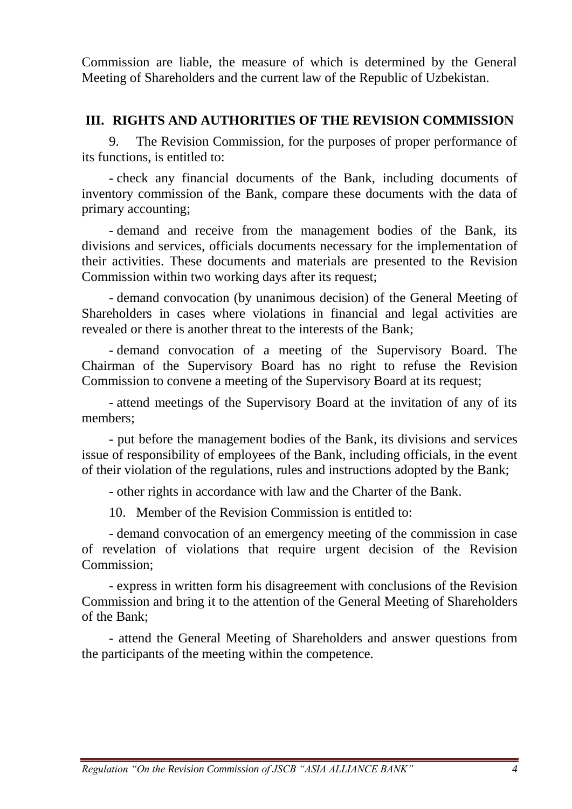Commission are liable, the measure of which is determined by the General Meeting of Shareholders and the current law of the Republic of Uzbekistan.

## **III. RIGHTS AND AUTHORITIES OF THE REVISION COMMISSION**

9. The Revision Commission, for the purposes of proper performance of its functions, is entitled to:

- check any financial documents of the Bank, including documents of inventory commission of the Bank, compare these documents with the data of primary accounting;

- demand and receive from the management bodies of the Bank, its divisions and services, officials documents necessary for the implementation of their activities. These documents and materials are presented to the Revision Commission within two working days after its request;

- demand convocation (by unanimous decision) of the General Meeting of Shareholders in cases where violations in financial and legal activities are revealed or there is another threat to the interests of the Bank;

- demand convocation of a meeting of the Supervisory Board. The Chairman of the Supervisory Board has no right to refuse the Revision Commission to convene a meeting of the Supervisory Board at its request;

- attend meetings of the Supervisory Board at the invitation of any of its members;

- put before the management bodies of the Bank, its divisions and services issue of responsibility of employees of the Bank, including officials, in the event of their violation of the regulations, rules and instructions adopted by the Bank;

- other rights in accordance with law and the Charter of the Bank.

10. Member of the Revision Commission is entitled to:

- demand convocation of an emergency meeting of the commission in case of revelation of violations that require urgent decision of the Revision Commission;

- express in written form his disagreement with conclusions of the Revision Commission and bring it to the attention of the General Meeting of Shareholders of the Bank;

- attend the General Meeting of Shareholders and answer questions from the participants of the meeting within the competence.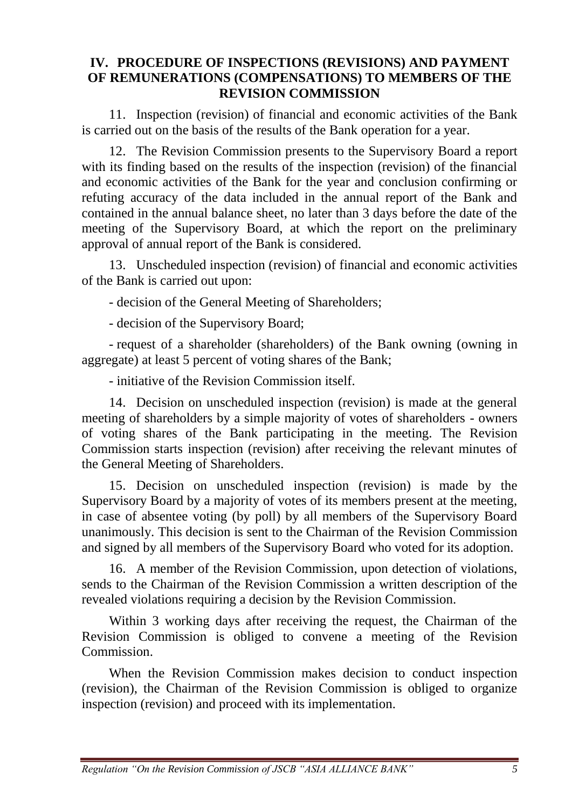#### **IV. PROCEDURE OF INSPECTIONS (REVISIONS) AND PAYMENT OF REMUNERATIONS (COMPENSATIONS) TO MEMBERS OF THE REVISION COMMISSION**

11. Inspection (revision) of financial and economic activities of the Bank is carried out on the basis of the results of the Bank operation for a year.

12. The Revision Commission presents to the Supervisory Board a report with its finding based on the results of the inspection (revision) of the financial and economic activities of the Bank for the year and conclusion confirming or refuting accuracy of the data included in the annual report of the Bank and contained in the annual balance sheet, no later than 3 days before the date of the meeting of the Supervisory Board, at which the report on the preliminary approval of annual report of the Bank is considered.

13. Unscheduled inspection (revision) of financial and economic activities of the Bank is carried out upon:

- decision of the General Meeting of Shareholders;

- decision of the Supervisory Board;

- request of a shareholder (shareholders) of the Bank owning (owning in aggregate) at least 5 percent of voting shares of the Bank;

- initiative of the Revision Commission itself.

14. Decision on unscheduled inspection (revision) is made at the general meeting of shareholders by a simple majority of votes of shareholders - owners of voting shares of the Bank participating in the meeting. The Revision Commission starts inspection (revision) after receiving the relevant minutes of the General Meeting of Shareholders.

15. Decision on unscheduled inspection (revision) is made by the Supervisory Board by a majority of votes of its members present at the meeting, in case of absentee voting (by poll) by all members of the Supervisory Board unanimously. This decision is sent to the Chairman of the Revision Commission and signed by all members of the Supervisory Board who voted for its adoption.

16. A member of the Revision Commission, upon detection of violations, sends to the Chairman of the Revision Commission a written description of the revealed violations requiring a decision by the Revision Commission.

Within 3 working days after receiving the request, the Chairman of the Revision Commission is obliged to convene a meeting of the Revision Commission.

When the Revision Commission makes decision to conduct inspection (revision), the Chairman of the Revision Commission is obliged to organize inspection (revision) and proceed with its implementation.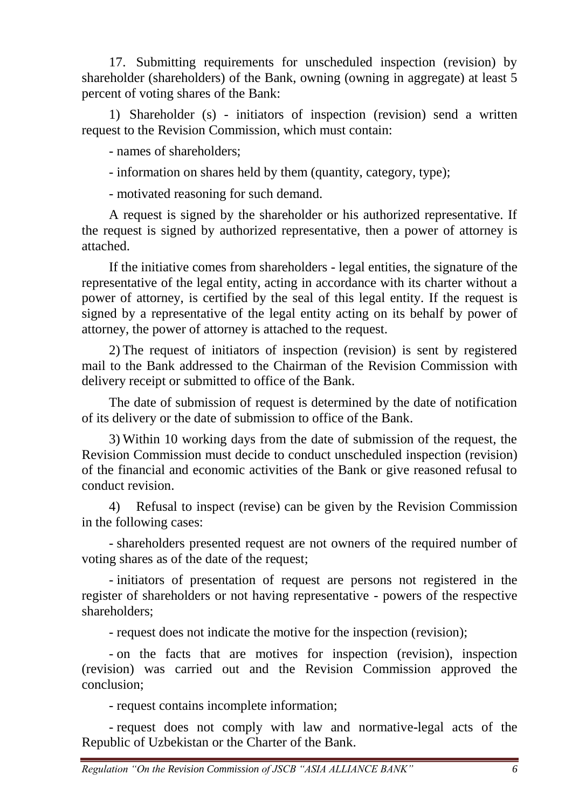17. Submitting requirements for unscheduled inspection (revision) by shareholder (shareholders) of the Bank, owning (owning in aggregate) at least 5 percent of voting shares of the Bank:

1) Shareholder (s) - initiators of inspection (revision) send a written request to the Revision Commission, which must contain:

- names of shareholders;

- information on shares held by them (quantity, category, type);

- motivated reasoning for such demand.

A request is signed by the shareholder or his authorized representative. If the request is signed by authorized representative, then a power of attorney is attached.

If the initiative comes from shareholders - legal entities, the signature of the representative of the legal entity, acting in accordance with its charter without a power of attorney, is certified by the seal of this legal entity. If the request is signed by a representative of the legal entity acting on its behalf by power of attorney, the power of attorney is attached to the request.

2) The request of initiators of inspection (revision) is sent by registered mail to the Bank addressed to the Chairman of the Revision Commission with delivery receipt or submitted to office of the Bank.

The date of submission of request is determined by the date of notification of its delivery or the date of submission to office of the Bank.

3) Within 10 working days from the date of submission of the request, the Revision Commission must decide to conduct unscheduled inspection (revision) of the financial and economic activities of the Bank or give reasoned refusal to conduct revision.

4) Refusal to inspect (revise) can be given by the Revision Commission in the following cases:

- shareholders presented request are not owners of the required number of voting shares as of the date of the request;

- initiators of presentation of request are persons not registered in the register of shareholders or not having representative - powers of the respective shareholders;

- request does not indicate the motive for the inspection (revision);

- on the facts that are motives for inspection (revision), inspection (revision) was carried out and the Revision Commission approved the conclusion;

- request contains incomplete information;

- request does not comply with law and normative-legal acts of the Republic of Uzbekistan or the Charter of the Bank.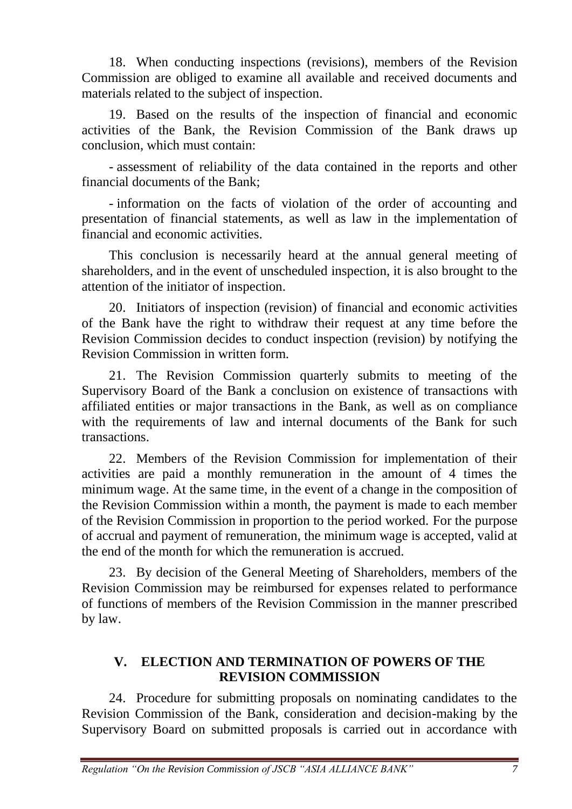18. When conducting inspections (revisions), members of the Revision Commission are obliged to examine all available and received documents and materials related to the subject of inspection.

19. Based on the results of the inspection of financial and economic activities of the Bank, the Revision Commission of the Bank draws up conclusion, which must contain:

- assessment of reliability of the data contained in the reports and other financial documents of the Bank;

- information on the facts of violation of the order of accounting and presentation of financial statements, as well as law in the implementation of financial and economic activities.

This conclusion is necessarily heard at the annual general meeting of shareholders, and in the event of unscheduled inspection, it is also brought to the attention of the initiator of inspection.

20. Initiators of inspection (revision) of financial and economic activities of the Bank have the right to withdraw their request at any time before the Revision Commission decides to conduct inspection (revision) by notifying the Revision Commission in written form.

21. The Revision Commission quarterly submits to meeting of the Supervisory Board of the Bank a conclusion on existence of transactions with affiliated entities or major transactions in the Bank, as well as on compliance with the requirements of law and internal documents of the Bank for such transactions.

22. Members of the Revision Commission for implementation of their activities are paid a monthly remuneration in the amount of 4 times the minimum wage. At the same time, in the event of a change in the composition of the Revision Commission within a month, the payment is made to each member of the Revision Commission in proportion to the period worked. For the purpose of accrual and payment of remuneration, the minimum wage is accepted, valid at the end of the month for which the remuneration is accrued.

23. By decision of the General Meeting of Shareholders, members of the Revision Commission may be reimbursed for expenses related to performance of functions of members of the Revision Commission in the manner prescribed by law.

#### **V. ELECTION AND TERMINATION OF POWERS OF THE REVISION COMMISSION**

24. Procedure for submitting proposals on nominating candidates to the Revision Commission of the Bank, consideration and decision-making by the Supervisory Board on submitted proposals is carried out in accordance with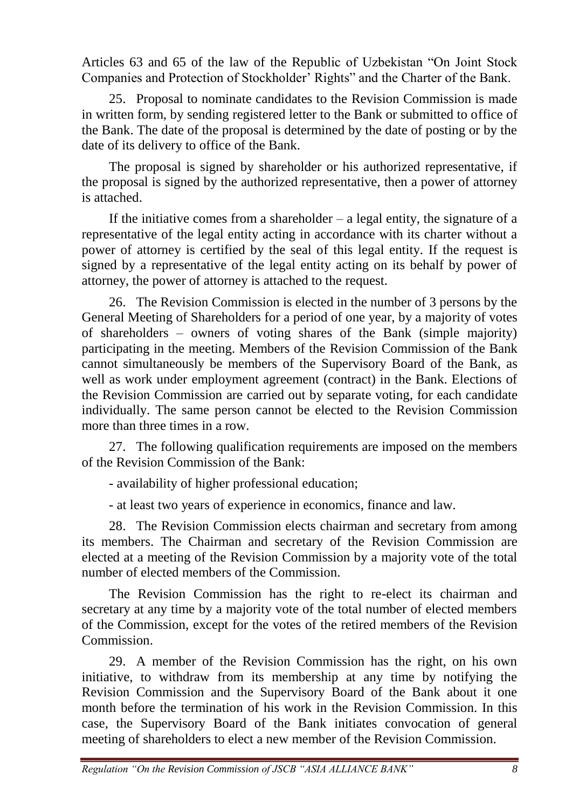Articles 63 and 65 of the law of the Republic of Uzbekistan "On Joint Stock Companies and Protection of Stockholder' Rights" and the Charter of the Bank.

25. Proposal to nominate candidates to the Revision Commission is made in written form, by sending registered letter to the Bank or submitted to office of the Bank. The date of the proposal is determined by the date of posting or by the date of its delivery to office of the Bank.

The proposal is signed by shareholder or his authorized representative, if the proposal is signed by the authorized representative, then a power of attorney is attached.

If the initiative comes from a shareholder  $-$  a legal entity, the signature of a representative of the legal entity acting in accordance with its charter without a power of attorney is certified by the seal of this legal entity. If the request is signed by a representative of the legal entity acting on its behalf by power of attorney, the power of attorney is attached to the request.

26. The Revision Commission is elected in the number of 3 persons by the General Meeting of Shareholders for a period of one year, by a majority of votes of shareholders – owners of voting shares of the Bank (simple majority) participating in the meeting. Members of the Revision Commission of the Bank cannot simultaneously be members of the Supervisory Board of the Bank, as well as work under employment agreement (contract) in the Bank. Elections of the Revision Commission are carried out by separate voting, for each candidate individually. The same person cannot be elected to the Revision Commission more than three times in a row.

27. The following qualification requirements are imposed on the members of the Revision Commission of the Bank:

- availability of higher professional education;

- at least two years of experience in economics, finance and law.

28. The Revision Commission elects chairman and secretary from among its members. The Chairman and secretary of the Revision Commission are elected at a meeting of the Revision Commission by a majority vote of the total number of elected members of the Commission.

The Revision Commission has the right to re-elect its chairman and secretary at any time by a majority vote of the total number of elected members of the Commission, except for the votes of the retired members of the Revision Commission.

29. A member of the Revision Commission has the right, on his own initiative, to withdraw from its membership at any time by notifying the Revision Commission and the Supervisory Board of the Bank about it one month before the termination of his work in the Revision Commission. In this case, the Supervisory Board of the Bank initiates convocation of general meeting of shareholders to elect a new member of the Revision Commission.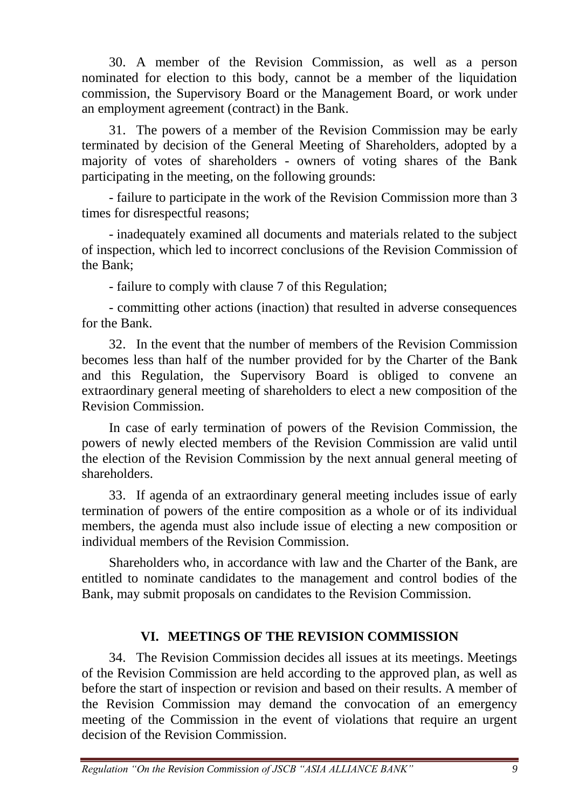30. A member of the Revision Commission, as well as a person nominated for election to this body, cannot be a member of the liquidation commission, the Supervisory Board or the Management Board, or work under an employment agreement (contract) in the Bank.

31. The powers of a member of the Revision Commission may be early terminated by decision of the General Meeting of Shareholders, adopted by a majority of votes of shareholders - owners of voting shares of the Bank participating in the meeting, on the following grounds:

- failure to participate in the work of the Revision Commission more than 3 times for disrespectful reasons;

- inadequately examined all documents and materials related to the subject of inspection, which led to incorrect conclusions of the Revision Commission of the Bank;

- failure to comply with clause 7 of this Regulation;

- committing other actions (inaction) that resulted in adverse consequences for the Bank.

32. In the event that the number of members of the Revision Commission becomes less than half of the number provided for by the Charter of the Bank and this Regulation, the Supervisory Board is obliged to convene an extraordinary general meeting of shareholders to elect a new composition of the Revision Commission.

In case of early termination of powers of the Revision Commission, the powers of newly elected members of the Revision Commission are valid until the election of the Revision Commission by the next annual general meeting of shareholders.

33. If agenda of an extraordinary general meeting includes issue of early termination of powers of the entire composition as a whole or of its individual members, the agenda must also include issue of electing a new composition or individual members of the Revision Commission.

Shareholders who, in accordance with law and the Charter of the Bank, are entitled to nominate candidates to the management and control bodies of the Bank, may submit proposals on candidates to the Revision Commission.

# **VI. MEETINGS OF THE REVISION COMMISSION**

34. The Revision Commission decides all issues at its meetings. Meetings of the Revision Commission are held according to the approved plan, as well as before the start of inspection or revision and based on their results. A member of the Revision Commission may demand the convocation of an emergency meeting of the Commission in the event of violations that require an urgent decision of the Revision Commission.